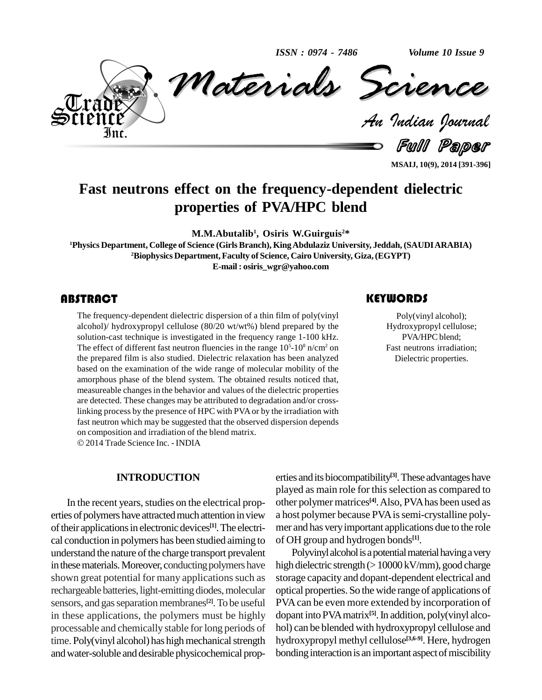*ISSN : 0974 - 7486*

*Volume 10 Issue 9*



*Materials Science Materials Science* Volume 10 Issue 9<br>**CREARCEL**<br>Indian Pournal

Full Paper

**MSAIJ, 10(9), 2014 [391-396]**

## **Fast neutrons effect on the frequency-dependent dielectric properties of PVA/HPC blend**

**M.M.Abutalib 1 , Osiris W.Guirguis <sup>2</sup>\***

**<sup>1</sup>Physics Department, College of Science (GirlsBranch), KingAbdulaziz University, Jeddah, (SAUDIARABIA) <sup>2</sup>Biophysics Department, Faculty of Science, Cairo University, Giza,(EGYPT) E-mail : [osiris\\_wgr@yahoo.com](mailto:osiris_wgr@yahoo.com)**

### ABSTRACT

The frequency-dependent dielectric dispersion of a thin film of poly(vinyl alcohol) alcohol) alcohol) hydroxypropyl cellulose (80/20 wt/wt%) blend prepared by the Hydroxypropyl cellulose is investigated in the frequency ra The frequency-dependent dielectric dispersion of a thin film of poly(vinyl alcohol)/ hydroxypropyl cellulose (80/20 wt/wt%) blend prepared by the The effect of different fast neutron fluencies in the range  $10<sup>5</sup>$ -10<sup>8</sup> n/cm<sup>2</sup> on the prepared film is also studied. Dielectric relaxation has been analyzed based on the examination of the wide range of molecular mobility of the amorphous phase of the blend system. The obtained results noticed that, measureable changes in the behavior and values of the dielectric properties are detected. These changes may be attributed to degradation and/or crosslinking process by the presence of HPC with PVAor by the irradiation with fast neutron which may be suggested that the observed dispersion depends on composition and irradiation of the blend matrix.

2014Trade Science Inc. - INDIA

### **INTRODUCTION**

In the recent years, studies on the electrical properties of polymers have attracted much attention in view of their applications in electronic devices<sup>[1]</sup>. The electri- mer cal conduction in polymers has been studied aiming to understand the nature of the charge transport prevalent in these materials. Moreover, conducting polymers have shown great potential for many applications such as rechargeable batteries, light-emitting diodes, molecular sensors, and gas separation membranes<sup>[2]</sup>. To be useful PV in these applications, the polymers must be highly processable and chemically stable for long periods of time. Poly(vinyl alcohol) has high mechanical strength andwater-soluble and desirable physicochemical prop-

erties andits biocompatibility **[3]**.These advantages have played as main role for this selection as compared to other polymer matrices **[4]**.Also, PVAhas been used as a host polymer because PVAissemi-crystalline poly mer and has veryimportant applications due to the role of OH group and hydrogen bonds **[1]**.

Polyvinyl alcohol is a potential material having a very high dielectric strength  $(>10000 \,\mathrm{kV/mm})$ , good charge storage capacity and dopant-dependent electrical and optical properties. So the wide range of applications of PVAcan be even more extended by incorporation of dopant into PVAmatrix **[5]**.In addition, poly(vinyl alco hol) can be blended with hydroxypropyl cellulose and hydroxypropyl methyl cellulose **[3,6-9]**. Here, hydrogen bonding interaction is an important aspect of miscibility

## **KEYWORDS**

Poly(vinyl alcohol); Hydroxypropyl cellulose; PVA/HPC blend; Fast neutrons irradiation; Dielectric properties.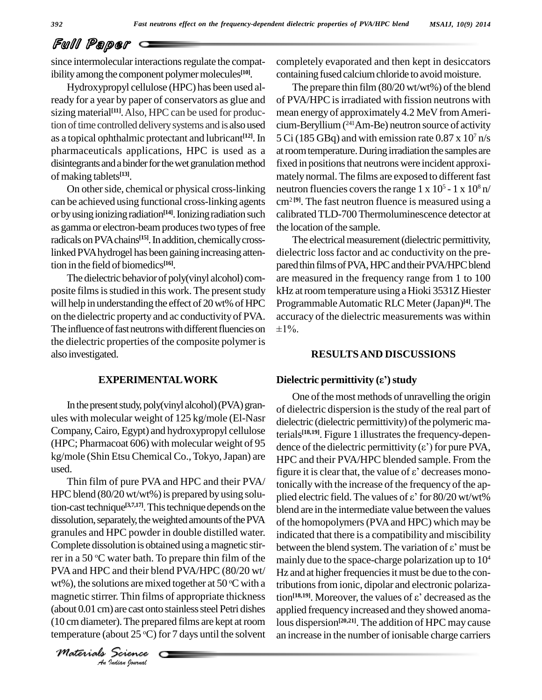# Full Paper

since intermolecular interactions regulate the compatibility among the component polymer molecules<sup>[10]</sup>.

Hydroxypropyl cellulose (HPC) has been used already for a year by paper of conservators as glue and sizing material<sup>[11]</sup>. Also, HPC can be used for production of time controlled delivery systems and is also used as a topical ophthalmic protectant and lubricant<sup>[12]</sup>. In pharmaceuticals applications, HPC is used as a disintegrants and a binder for the wet granulation method ofmaking tablets **[13]**.

On other side, chemical or physical cross-linking can be achieved using functional cross-linking agents or by using ionizing radiation<sup>[14]</sup>. Ionizing radiation such calibra as gamma or electron-beam produces two types of free radicals on PVA chains<sup>[15]</sup>. In addition, chemically crosslinked PVA hydrogel has been gaining increasing attention in the field of biomedics **[16]**.

The dielectric behavior of poly(vinyl alcohol) composite films is studied in this work. The present study will help in understanding the effect of 20 wt% of HPC on the dielectric property and ac conductivityof PVA. The influence of fast neutrons with different fluencies on  $\pm 1\%$ . the dielectric properties of the composite polymer is also investigated.

In the present study, poly(vinyl alcohol) (PVA) granules with molecular weight of 125 kg/mole (El-Nasr Company,Cairo, Egypt) and hydroxypropyl cellulose (HPC; Pharmacoat 606) with molecular weight of 95 kg/mole (Shin Etsu Chemical Co., Tokyo, Japan) are

wt%), the solutions are mixed together at  $50^{\circ}$ C with a tributions **I**<br>independent CI and the prep<br>**I**<br>*Indian hournal* HPC blend (80/20 wt/wt%) is prepared by using solu-<br>plied electric field. The values of  $\varepsilon$ ' for 80/20 wt/wt% tion-cast technique<sup>[3,7,17]</sup>. This technique depends on the blend dissolution, separately, the weighted amounts of the PVA granules and HPC powder in double distilled water. rer in a 50  $\mathrm{^{\circ}C}$  water bath. To prepare thin film of the  $_{\rm{mainl}}$ PVAand HPC and their blend PVA/HPC (80/20 wt/ magnetic stirrer. Thin films of appropriate thickness  $(about 0.01 cm)$  are cast onto stainless steel Petri dishes (10 cm diameter). The prepared films are kept at room temperature (about  $25 \degree C$ ) for 7 days until the solvent an

*Materials Science*

completely evaporated and then kept in desiccators containing fused calcium chloride to avoid moisture.

<sup>[12]</sup>. In  $5 \text{ Ci}$  (185 GBq) and with emission rate 0.87 x 10<sup>7</sup> n/s The prepare thin film  $(80/20 \text{ wt/wt\%})$  of the blend of PVA/HPC is irradiated with fission neutrons with mean energy of approximately 4.2 MeV from Americium-Beryllium( <sup>241</sup>Am-Be) neutron source of activity at room temperature. During irradiation the samples are fixed in positions that neutrons were incident approximately normal. The films are exposed to different fast neutron fluencies covers the range  $1 \times 10^5$  -  $1 \times 10^8$  n/  $cm<sup>2 [9]</sup>$ . The fast neutron fluence is measured using a calibratedTLD-700Thermoluminescence detector at the location of the sample.

> The electrical measurement (dielectric permittivity, dielectric lossfactor and ac conductivity on the pre pared thin films of PVA, HPC and their PVA/HPC blend are measured in the frequency range from 1 to 100 kHz at room temperature using a Hioki 3531Z Hiester Programmable Automatic RLC Meter (Japan)<sup>[4]</sup>. The accuracy of the dielectric measurements was within

# **RESULTSAND DISCUSSIONS Dielectric permittivity (Âí)study**

### **EXPERIMENTAL WORK** Dielectric permittivity ( $\varepsilon$ <sup>\*</sup>) study

used.<br>Thin film of pure PVA and HPC and their PVA/ $\frac{1}{2}$  figure it is clear that, the value of  $\varepsilon$ ' decreases mono-Complete dissolution is obtained using a magnetic stir-<br>between the blend system. The variation of  $\varepsilon$ ' must be One of the most methods of unravelling the origin of dielectric dispersion isthe study of the real part of dielectric (dielectric permittivity) of the polymeric materials<sup>[18,19]</sup>. Figure 1 illustrates the frequency-dependielectric (dielectric permittivity) of the polymeric materials<sup>[18,19]</sup>. Figure 1 illustrates the frequency-dependence of the dielectric permittivity ( $\varepsilon$ ') for pure PVA, HPC and their PVA/HPC blended sample. From the dence of the dielectric permittivity  $(\varepsilon')$  for pure PVA, tonicallywith the increase of the frequency of the ap figure it is clear that, the value of  $\varepsilon$ ' decreases mono-<br>tonically with the increase of the frequency of the ap-<br>plied electric field. The values of  $\varepsilon$ ' for 80/20 wt/wt% blend are in the intermediate value between the values of the homopolymers (PVA and HPC) which may be<br>indicated that there is a compatibility and miscibility<br>between the blend system. The variation of  $\varepsilon$ ' must be indicated that there is a compatibility and miscibility mainly due to the space-charge polarization up to 10 4 Hz and at higher frequencies it must be due to the contributions from ionic, dipolar and electronic polariza-Hz and at higher frequencies it must be due to the contributions from ionic, dipolar and electronic polarization<sup>[18,19]</sup>. Moreover, the values of  $\varepsilon$ ' decreased as the applied frequency increased and they showed anomalous dispersion **[20,21]**. The addition of HPC may cause an increase in the number of ionisable charge carriers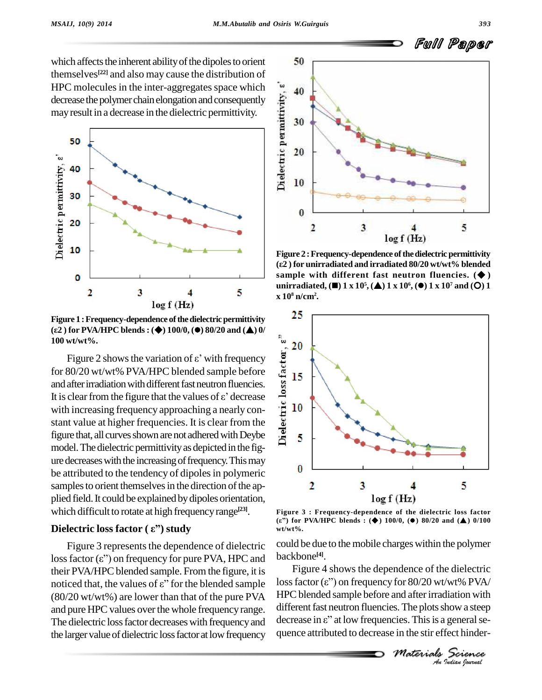which affects the inherent ability of the dipoles to orient themselves **[22]** and also may cause the distribution of decrease the polymer chain elongation and consequently mayresult in a decrease in the dielectric permittivity.



**Figure 1 : Frequency-dependence of the dielectric permittivity (Â<sup>2</sup> ) for PVA/HPC blends: () 100/0, () 80/20 and () 0/ 100 wt/wt%.**

(ε2) for PVA/HPC blends : ( $\blacklozenge$ ) 100/0, ( $\blacklozenge$ ) 80/20 and ( $\blacktriangle$ ) 0/<br>100 wt/wt%.<br>
Figure 2 shows the variation of  $\varepsilon$ ' with frequency<br>
for 80/20 wt/wt% PVA/HPC blended sample before<br>
and after irradiation with diff for 80/20 wt/wt% PVA/HPC blended sample before and after irradiation with different fast neutron fluencies. for 80/20 wt/wt% PVA/HPC blended sample before<br>and after irradiation with different fast neutron fluencies.<br>It is clear from the figure that the values of  $\varepsilon$ ' decrease with increasing frequency approaching a nearly con stant value at higher frequencies. It is clear from the figure that, all curves shown are not adhered with Deybe  $\frac{1}{5}$ model. The dielectric permittivity as depicted in the fig $u = 0$  ure decreases with the increasing of frequency. This may be attributed to the tendency of dipoles in polymeric samples to orient themselves in the direction of the applied field. It could be explained by dipoles orientation, which difficult to rotate at high frequency range<sup>[23]</sup>. plied field. It could be explained by dipoles or<br>which difficult to rotate at high frequency rang<br>**Dielectric loss factor** (  $\varepsilon$  ") study

Figure 3 represents the dependence of dielectric **Dielectric loss factor (** $\varepsilon$ **") study**<br>Figure 3 represents the dependence of dielectric<br>loss factor ( $\varepsilon$ ") on frequency for pure PVA, HPC and their PVA/HPC blended sample. From the figure, it is  $\qquad \qquad$ loss factor ( $\varepsilon$ ") on frequency for pure PVA, HPC and backb<br>their PVA/HPC blended sample. From the figure, it is Fi<br>noticed that, the values of  $\varepsilon$ " for the blended sample loss fa (80/20 wt/wt%) are lower than that of the pure PVA The dielectric loss factor decreases with frequency and the larger value of dielectric loss factor at low frequency



**Figure** 2 **:** Frequency-dependence of the dielectric permittivity **(Â<sup>2</sup> ) for unirradiated and irradiated 80/20 wt/wt% blended sample with different fast neutron fluencies. ( )** unirradiated, ( $\blacksquare$ ) 1 x 10<sup>5</sup>, ( $\blacktriangle$ ) 1 x 10<sup>6</sup>, ( $\blacklozenge$ ) 1 x 10<sup>7</sup> and (O) 1 **x 10 <sup>8</sup> n/cm<sup>2</sup> .**



**Figure 3 : Frequency-dependence of the dielectric loss factor f** (**Hz**)<br>**Figure 3 : Frequency-dependence of the dielectric loss factor<br>(ε") for PVA/HPC blends : (♦) 100/0, (●) 80/20 and (▲) 0/100 wt/wt%.**

could be due to the mobile charges within the polymer backbone **[4]**.

*M*<br> *Materimaliation with*<br> *Materials Science*<br> *Materials Science*<br> *Materials Science* backbone<sup>[4]</sup>.<br>*Figure 4 shows the dependence of the dielectric*<br>loss factor ( $\varepsilon$ ") on frequency for 80/20 wt/wt% PVA/ Figure 4 shows the dependence of the dielectric HPC blended sample before and after irradiation with<br>different fast neutron fluencies. The plots show a steep<br>decrease in  $\varepsilon$ " at low frequencies. This is a general sedifferent fast neutron fluencies. The plots show a steep quence attributed to decrease in the stir effect hinderand pure HPC values over the whole frequency range. different fast neutron fluencies. The plots show a steep<br>The dielectric loss factor decreases with frequency and decrease in  $\varepsilon$ " at low frequencies. This is a general

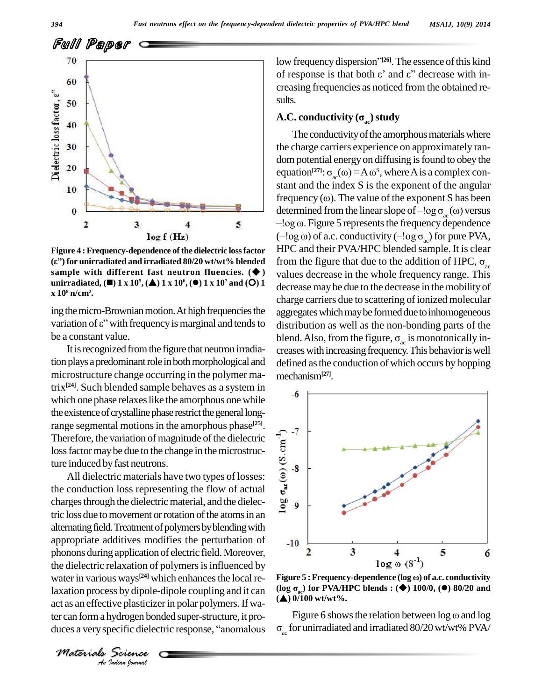

Figure 4 : Frequency-dependence of the dielectric loss factor  $(ε")$  for unirradiated and irradiated 80/20 wt/wt% blended sample with different fast neutron fluencies.  $(\blacklozenge)$ unirradiated,  $(\blacksquare)$  1 x 10<sup>5</sup>,  $(\blacktriangle)$  1 x 10<sup>6</sup>,  $(\blacktriangleright)$  1 x 10<sup>7</sup> and (O) 1  $\rm x 10^8\,n/cm^2$ .

ing the micro-Brownian motion. At high frequencies the variation of  $\varepsilon$ " with frequency is marginal and tends to be a constant value.

It is recognized from the figure that neutron irradiation plays a predominant role in both morphological and microstructure change occurring in the polymer ma $trix^{[24]}$ . Such blended sample behaves as a system in which one phase relaxes like the amorphous one while the existence of crystalline phase restrict the general longrange segmental motions in the amorphous phase<sup>[25]</sup>. Therefore, the variation of magnitude of the dielectric loss factor may be due to the change in the microstructure induced by fast neutrons.

All dielectric materials have two types of losses: the conduction loss representing the flow of actual charges through the dielectric material, and the dielectric loss due to movement or rotation of the atoms in an alternating field. Treatment of polymers by blending with appropriate additives modifies the perturbation of phonons during application of electric field. Moreover, the dielectric relaxation of polymers is influenced by water in various ways<sup>[24]</sup> which enhances the local relaxation process by dipole-dipole coupling and it can act as an effective plasticizer in polar polymers. If water can form a hydrogen bonded super-structure, it produces a very specific dielectric response, "anomalous

low frequency dispersion"[26]. The essence of this kind of response is that both  $\varepsilon$ ' and  $\varepsilon$ '' decrease with increasing frequencies as noticed from the obtained results.

### A.C. conductivity  $(\sigma_{\infty})$  study

The conductivity of the amorphous materials where the charge carriers experience on approximately random potential energy on diffusing is found to obey the equation<sup>[27]</sup>:  $\sigma_{ac}(\omega) = A \omega^{s}$ , where A is a complex constant and the index S is the exponent of the angular frequency  $(\omega)$ . The value of the exponent S has been determined from the linear slope of  $-\log \sigma_{\infty}(\omega)$  versus  $-\log \omega$ . Figure 5 represents the frequency dependence  $(-\log \omega)$  of a.c. conductivity  $(-\log \sigma_{ac})$  for pure PVA, HPC and their PVA/HPC blended sample. It is clear from the figure that due to the addition of HPC,  $\sigma_{\infty}$ values decrease in the whole frequency range. This decrease may be due to the decrease in the mobility of charge carriers due to scattering of ionized molecular aggregates which may be formed due to inhomogeneous distribution as well as the non-bonding parts of the blend. Also, from the figure,  $\sigma_{ac}$  is monotonically increases with increasing frequency. This behavior is well defined as the conduction of which occurs by hopping mechanism<sup>[27]</sup>.



Figure 5: Frequency-dependence (log ω) of a.c. conductivity (log  $\sigma_{\rm so}$ ) for PVA/HPC blends : ( $\blacklozenge$ ) 100/0, ( $\blacklozenge$ ) 80/20 and  $(\triangle)$  0/100 wt/wt%.

Figure 6 shows the relation between  $\log \omega$  and  $\log$  $\sigma_{\infty}$  for unirradiated and irradiated 80/20 wt/wt% PVA/

Materials Science An Indian Journal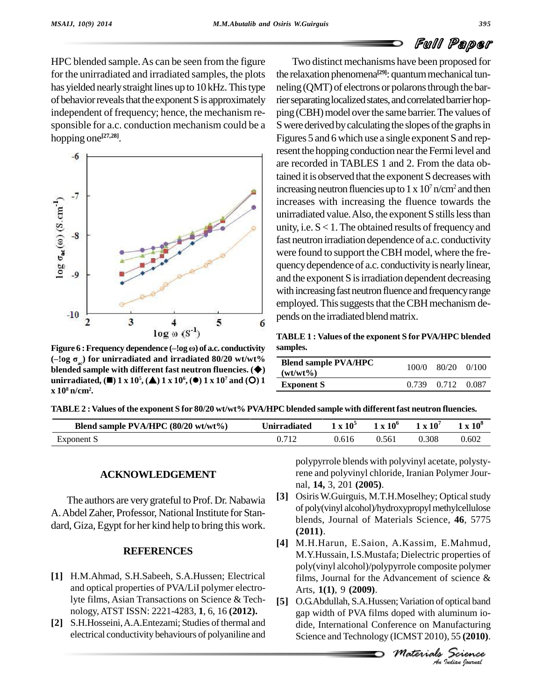HPC blended sample.As can be seen from the figure for the unirradiated and irradiated samples, the plots has yielded nearly straight lines up to 10 kHz. This type of behavior reveals that the exponent S is approximately independent of frequency; hence, the mechanism re sponsible for a.c. conduction mechanism could be a hopping one **[27,28]**.



**(ñ!og <sup>Û</sup>ac) for unirradiated and irradiated 80/20 wt/wt% blended sample with different fast neutron fluencies. ()** unirradiated, ( $\blacksquare$ ) 1 x 10<sup>5</sup>, ( $\blacktriangle$ ) 1 x 10<sup>6</sup>, ( $\blacklozenge$ ) 1 x 10<sup>7</sup> and (O) 1 **x 10 <sup>8</sup> n/cm<sup>2</sup> .**

Two distinct mechanisms have been proposed for the relaxation phenomena<sup>[29]</sup>: quantum mechanical tunneling (QMT) of electrons or polarons through the barrier separating localized states, and correlated barrier hopping (CBH) model over the same barrier. The values of S were derived by calculating the slopes of the graphs in Figures 5 and 6 which use a single exponent S and represent the hopping conduction near the Fermi level and are recorded in TABLES 1 and 2. From the data obtained it is observed that the exponent S decreases with increasing neutron fluencies up to  $1 \times 10^7$  n/cm<sup>2</sup> and then increases with increasing the fluence towards the unirradiated value. Also, the exponent S stills less than unity, i.e.  $S < 1$ . The obtained results of frequency and fast neutron irradiation dependence of a.c. conductivity were found to support the CBH model, where the frequency dependence of a.c. conductivity is nearly linear, and the exponent S isirradiation dependent decreasing with increasing fast neutron fluence and frequency range employed. This suggests that the CBH mechanism depends on the irradiated blend matrix.

**TABLE 1 : Values of the exponent S for PVA/HPC blended samples.**

| <b>Blend sample PVA/HPC</b><br>$(wt/wt\%)$ | $100/0$ $80/20$ $0/100$ |  |
|--------------------------------------------|-------------------------|--|
| <b>Exponent S</b>                          | 0.739 0.712 0.087       |  |

TABLE 2: Values of the exponent S for 80/20 wt/wt% PVA/HPC blended sample with different fast neutron fluencies.

| Blend sample $PVA/HPC (80/20 wt/wt%)$ | nirradi<br>iated | $10^5$ | $\mathbf{1} \times 10^6$ | $\mathbf{r}$ | 10 <sup>8</sup> |
|---------------------------------------|------------------|--------|--------------------------|--------------|-----------------|
| Exponent                              |                  | 0.616  | 0.561                    | 0.308        | 0.602           |

### **ACKNOWLEDGEMENT**

The authors are very grateful to Prof. Dr. Nabawia [3] A. Abdel Zaher, Professor, National Institute for Standard, Giza, Egypt for her kind help to bring this work.

### **REFERENCES**

- **[1]** H.M.Ahmad, S.H.Sabeeh, S.A.Hussen; Electrical and optical properties of PVA/LiI polymer electrolyte films, Asian Transactions on Science & Tech nology, ATST ISSN: 2221-4283, **1**, 6, 16 **(2012).**
- [2] S.H.Hosseini, A.A.Entezami; Studies of thermal and electrical conductivity behaviours of polyaniline and

polypyrrole blends with polyvinyl acetate, polystyrene and polyvinyl chloride, Iranian Polymer Jour nal, **14,** 3, 201 **(2005)**.

- **Osiris W.Guirguis, M.T.H.Moselhey; Optical study** of poly(vinyl alcohol)/hydroxypropylmethylcellulose blends, Journal of Materials Science, **46**, 5775 **(2011)**.
- **[4]** M.H.Harun, E.Saion, A.Kassim, E.Mahmud, M.Y.Hussain, I.S.Mustafa; Dielectric properties of poly(vinyl alcohol)/polypyrrole composite polymer films, Journal for the Advancement of science & Arts, **1(1)**, 9 **(2009)**.
- *M I M I M I Indian I Indian I ICMST* 2010), 55 (**2010**).<br> *Materials Science*<br> *A Materials A Materials* [5] O.G.Abdullah, S.A.Hussen; Variation of optical band gap width of PVA films doped with aluminum io dide, International Conference on Manufacturing Science and Technology (ICMST 2010), 55 **(2010)**.